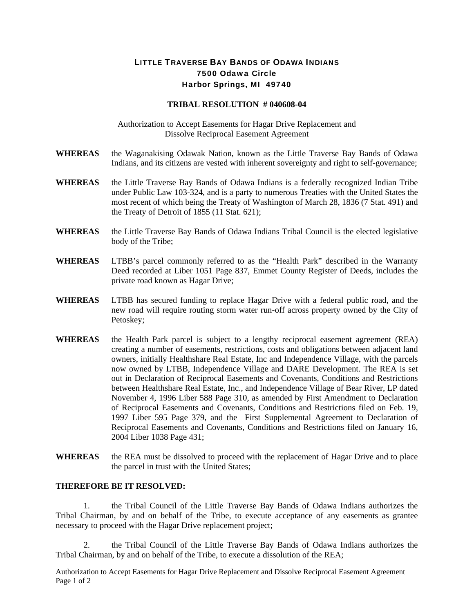## LITTLE TRAVERSE BAY BANDS OF ODAWA INDIANS 7500 Odawa Circle Harbor Springs, MI 49740

## **TRIBAL RESOLUTION # 040608-04**

Authorization to Accept Easements for Hagar Drive Replacement and Dissolve Reciprocal Easement Agreement

- **WHEREAS** the Waganakising Odawak Nation, known as the Little Traverse Bay Bands of Odawa Indians, and its citizens are vested with inherent sovereignty and right to self-governance;
- **WHEREAS** the Little Traverse Bay Bands of Odawa Indians is a federally recognized Indian Tribe under Public Law 103-324, and is a party to numerous Treaties with the United States the most recent of which being the Treaty of Washington of March 28, 1836 (7 Stat. 491) and the Treaty of Detroit of 1855 (11 Stat. 621);
- **WHEREAS** the Little Traverse Bay Bands of Odawa Indians Tribal Council is the elected legislative body of the Tribe;
- **WHEREAS** LTBB's parcel commonly referred to as the "Health Park" described in the Warranty Deed recorded at Liber 1051 Page 837, Emmet County Register of Deeds, includes the private road known as Hagar Drive;
- **WHEREAS** LTBB has secured funding to replace Hagar Drive with a federal public road, and the new road will require routing storm water run-off across property owned by the City of Petoskey;
- **WHEREAS** the Health Park parcel is subject to a lengthy reciprocal easement agreement (REA) creating a number of easements, restrictions, costs and obligations between adjacent land owners, initially Healthshare Real Estate, Inc and Independence Village, with the parcels now owned by LTBB, Independence Village and DARE Development. The REA is set out in Declaration of Reciprocal Easements and Covenants, Conditions and Restrictions between Healthshare Real Estate, Inc., and Independence Village of Bear River, LP dated November 4, 1996 Liber 588 Page 310, as amended by First Amendment to Declaration of Reciprocal Easements and Covenants, Conditions and Restrictions filed on Feb. 19, 1997 Liber 595 Page 379, and the First Supplemental Agreement to Declaration of Reciprocal Easements and Covenants, Conditions and Restrictions filed on January 16, 2004 Liber 1038 Page 431;
- **WHEREAS** the REA must be dissolved to proceed with the replacement of Hagar Drive and to place the parcel in trust with the United States;

## **THEREFORE BE IT RESOLVED:**

 1. the Tribal Council of the Little Traverse Bay Bands of Odawa Indians authorizes the Tribal Chairman, by and on behalf of the Tribe, to execute acceptance of any easements as grantee necessary to proceed with the Hagar Drive replacement project;

 2. the Tribal Council of the Little Traverse Bay Bands of Odawa Indians authorizes the Tribal Chairman, by and on behalf of the Tribe, to execute a dissolution of the REA;

Authorization to Accept Easements for Hagar Drive Replacement and Dissolve Reciprocal Easement Agreement Page 1 of 2